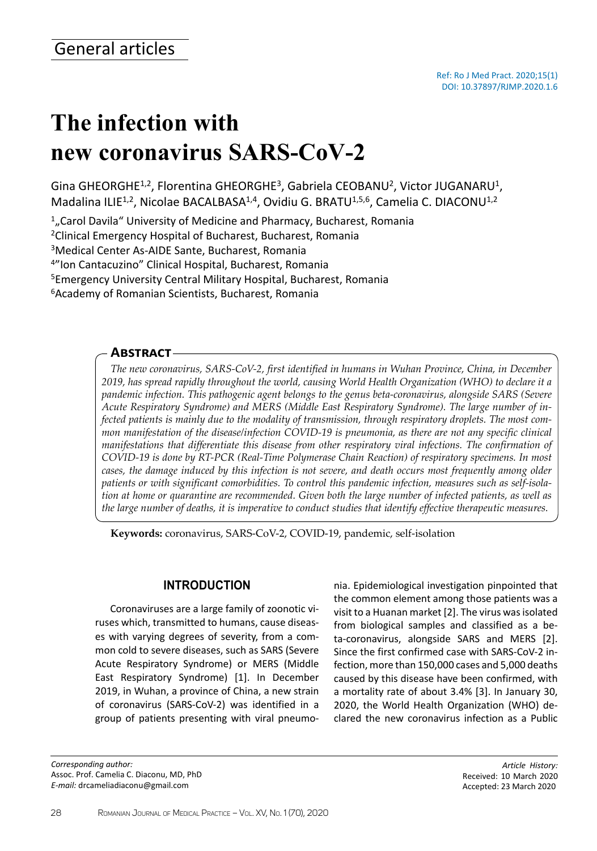# **The infection with new coronavirus SARS-CoV-2**

Gina GHEORGHE<sup>1,2</sup>, Florentina GHEORGHE<sup>3</sup>, Gabriela CEOBANU<sup>2</sup>, Victor JUGANARU<sup>1</sup>, Madalina ILIE<sup>1,2</sup>, Nicolae BACALBASA<sup>1,4</sup>, Ovidiu G. BRATU<sup>1,5,6</sup>, Camelia C. DIACONU<sup>1,2</sup>

<sup>1</sup>, Carol Davila" University of Medicine and Pharmacy, Bucharest, Romania

<sup>2</sup>Clinical Emergency Hospital of Bucharest, Bucharest, Romania

<sup>3</sup>Medical Center As-AIDE Sante, Bucharest, Romania

<sup>4</sup>"Ion Cantacuzino" Clinical Hospital, Bucharest, Romania

<sup>5</sup>Emergency University Central Military Hospital, Bucharest, Romania

<sup>6</sup> Academy of Romanian Scientists, Bucharest, Romania

## **Abstract**

*The new coronavirus, SARS-CoV-2, first identified in humans in Wuhan Province, China, in December 2019, has spread rapidly throughout the world, causing World Health Organization (WHO) to declare it a pandemic infection. This pathogenic agent belongs to the genus beta-coronavirus, alongside SARS (Severe Acute Respiratory Syndrome) and MERS (Middle East Respiratory Syndrome). The large number of infected patients is mainly due to the modality of transmission, through respiratory droplets. The most common manifestation of the disease/infection COVID-19 is pneumonia, as there are not any specific clinical manifestations that differentiate this disease from other respiratory viral infections. The confirmation of COVID-19 is done by RT-PCR (Real-Time Polymerase Chain Reaction) of respiratory specimens. In most cases, the damage induced by this infection is not severe, and death occurs most frequently among older patients or with significant comorbidities. To control this pandemic infection, measures such as self-isolation at home or quarantine are recommended. Given both the large number of infected patients, as well as the large number of deaths, it is imperative to conduct studies that identify effective therapeutic measures.*

**Keywords:** coronavirus, SARS-CoV-2, COVID-19, pandemic, self-isolation

# **INTRODUCTION**

Coronaviruses are a large family of zoonotic viruses which, transmitted to humans, cause diseases with varying degrees of severity, from a common cold to severe diseases, such as SARS (Severe Acute Respiratory Syndrome) or MERS (Middle East Respiratory Syndrome) [1]. In December 2019, in Wuhan, a province of China, a new strain of coronavirus (SARS-CoV-2) was identified in a group of patients presenting with viral pneumo-

*Corresponding author:* Assoc. Prof. Camelia C. Diaconu, MD, PhD *E-mail:* drcameliadiaconu@gmail.com

nia. Epidemiological investigation pinpointed that the common element among those patients was a visit to a Huanan market [2]. The virus was isolated from biological samples and classified as a beta-coronavirus, alongside SARS and MERS [2]. Since the first confirmed case with SARS-CoV-2 infection, more than 150,000 cases and 5,000 deaths caused by this disease have been confirmed, with a mortality rate of about 3.4% [3]. In January 30, 2020, the World Health Organization (WHO) declared the new coronavirus infection as a Public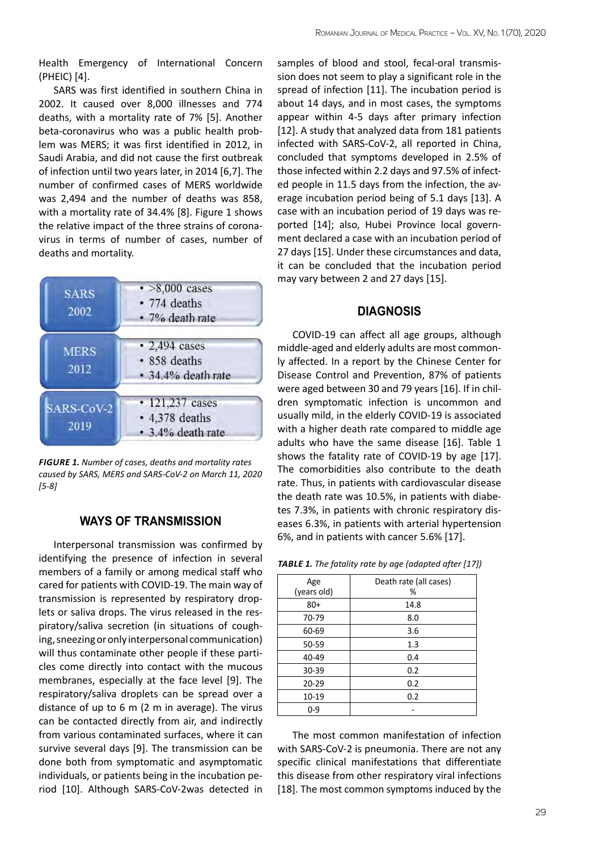Health Emergency of International Concern (PHEIC) [4].

SARS was first identified in southern China in 2002. It caused over 8,000 illnesses and 774 deaths, with a mortality rate of 7% [5]. Another beta-coronavirus who was a public health problem was MERS; it was first identified in 2012, in Saudi Arabia, and did not cause the first outbreak of infection until two years later, in 2014 [6,7]. The number of confirmed cases of MERS worldwide was 2,494 and the number of deaths was 858, with a mortality rate of 34.4% [8]. Figure 1 shows the relative impact of the three strains of coronavirus in terms of number of cases, number of deaths and mortality.

| <b>SARS</b><br>2002 | $\cdot$ >8,000 cases<br>• 774 deaths<br>· 7% death rate      |
|---------------------|--------------------------------------------------------------|
| <b>MERS</b><br>2012 | $\cdot$ 2,494 cases<br>• 858 deaths<br>• 34.4% death rate    |
| SARS-CoV-2<br>2019  | • 121,237 cases<br>$\cdot$ 4,378 deaths<br>• 3.4% death rate |

*Figure 1. Number of cases, deaths and mortality rates caused by SARS, MERS and SARS-CoV-2 on March 11, 2020 [5-8]*

# **WAYS OF TRANSMISSION**

Interpersonal transmission was confirmed by identifying the presence of infection in several members of a family or among medical staff who cared for patients with COVID-19. The main way of transmission is represented by respiratory droplets or saliva drops. The virus released in the respiratory/saliva secretion (in situations of coughing, sneezing or only interpersonal communication) will thus contaminate other people if these particles come directly into contact with the mucous membranes, especially at the face level [9]. The respiratory/saliva droplets can be spread over a distance of up to 6 m (2 m in average). The virus can be contacted directly from air, and indirectly from various contaminated surfaces, where it can survive several days [9]. The transmission can be done both from symptomatic and asymptomatic individuals, or patients being in the incubation period [10]. Although SARS-CoV-2was detected in

samples of blood and stool, fecal-oral transmission does not seem to play a significant role in the spread of infection [11]. The incubation period is about 14 days, and in most cases, the symptoms appear within 4-5 days after primary infection [12]. A study that analyzed data from 181 patients infected with SARS-CoV-2, all reported in China, concluded that symptoms developed in 2.5% of those infected within 2.2 days and 97.5% of infected people in 11.5 days from the infection, the average incubation period being of 5.1 days [13]. A case with an incubation period of 19 days was reported [14]; also, Hubei Province local government declared a case with an incubation period of 27 days [15]. Under these circumstances and data, it can be concluded that the incubation period may vary between 2 and 27 days [15].

#### **DIAGNOSIS**

COVID-19 can affect all age groups, although middle-aged and elderly adults are most commonly affected. In a report by the Chinese Center for Disease Control and Prevention, 87% of patients were aged between 30 and 79 years [16]. If in children symptomatic infection is uncommon and usually mild, in the elderly COVID-19 is associated with a higher death rate compared to middle age adults who have the same disease [16]. Table 1 shows the fatality rate of COVID-19 by age [17]. The comorbidities also contribute to the death rate. Thus, in patients with cardiovascular disease the death rate was 10.5%, in patients with diabetes 7.3%, in patients with chronic respiratory diseases 6.3%, in patients with arterial hypertension 6%, and in patients with cancer 5.6% [17].

*Table 1. The fatality rate by age (adapted after [17])*

| Age<br>(years old) | Death rate (all cases)<br>% |
|--------------------|-----------------------------|
| $80+$              | 14.8                        |
| 70-79              | 8.0                         |
| 60-69              | 3.6                         |
| 50-59              | 1.3                         |
| 40-49              | 0.4                         |
| 30-39              | 0.2                         |
| 20-29              | 0.2                         |
| 10-19              | 0.2                         |
| $0 - 9$            |                             |

The most common manifestation of infection with SARS-CoV-2 is pneumonia. There are not any specific clinical manifestations that differentiate this disease from other respiratory viral infections [18]. The most common symptoms induced by the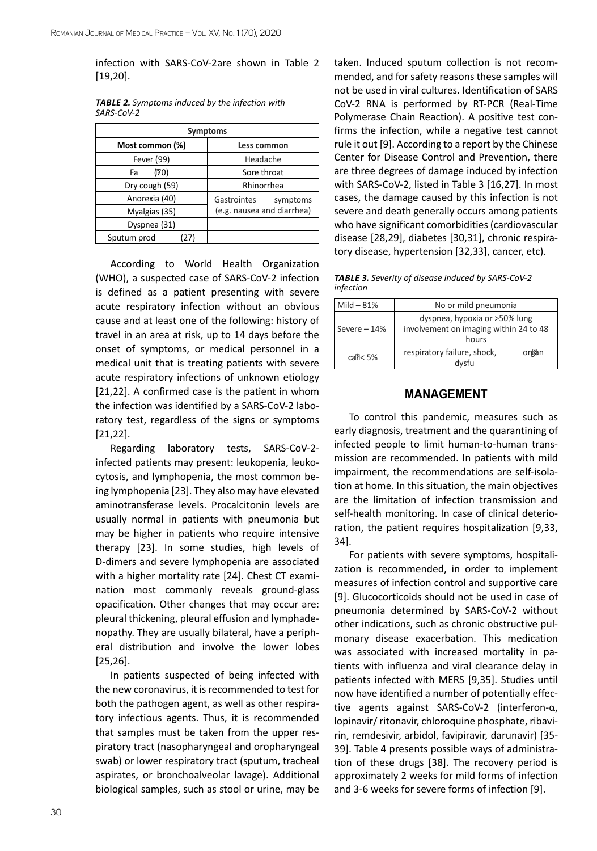infection with SARS-CoV-2are shown in Table 2 [19,20].

| <b>Symptoms</b> |                            |  |  |  |
|-----------------|----------------------------|--|--|--|
| Most common (%) | Less common                |  |  |  |
| Fever (99)      | Headache                   |  |  |  |
| (70)<br>Fa      | Sore throat                |  |  |  |
| Dry cough (59)  | Rhinorrhea                 |  |  |  |
| Anorexia (40)   | Gastrointes<br>symptoms    |  |  |  |
| Myalgias (35)   | (e.g. nausea and diarrhea) |  |  |  |
| Dyspnea (31)    |                            |  |  |  |
| Sputum prod     |                            |  |  |  |

*Table 2. Symptoms induced by the infection with SARS-CoV-2*

According to World Health Organization (WHO), a suspected case of SARS-CoV-2 infection is defined as a patient presenting with severe acute respiratory infection without an obvious cause and at least one of the following: history of travel in an area at risk, up to 14 days before the onset of symptoms, or medical personnel in a medical unit that is treating patients with severe acute respiratory infections of unknown etiology [21,22]. A confirmed case is the patient in whom the infection was identified by a SARS-CoV-2 laboratory test, regardless of the signs or symptoms [21,22].

Regarding laboratory tests, SARS-CoV-2 infected patients may present: leukopenia, leukocytosis, and lymphopenia, the most common being lymphopenia [23]. They also may have elevated aminotransferase levels. Procalcitonin levels are usually normal in patients with pneumonia but may be higher in patients who require intensive therapy [23]. In some studies, high levels of D-dimers and severe lymphopenia are associated with a higher mortality rate [24]. Chest CT examination most commonly reveals ground-glass opacification. Other changes that may occur are: pleural thickening, pleural effusion and lymphadenopathy. They are usually bilateral, have a peripheral distribution and involve the lower lobes [25,26].

In patients suspected of being infected with the new coronavirus, it is recommended to test for both the pathogen agent, as well as other respiratory infectious agents. Thus, it is recommended that samples must be taken from the upper respiratory tract (nasopharyngeal and oropharyngeal swab) or lower respiratory tract (sputum, tracheal aspirates, or bronchoalveolar lavage). Additional biological samples, such as stool or urine, may be

taken. Induced sputum collection is not recommended, and for safety reasons these samples will not be used in viral cultures. Identification of SARS CoV-2 RNA is performed by RT-PCR (Real-Time Polymerase Chain Reaction). A positive test confirms the infection, while a negative test cannot rule it out [9]. According to a report by the Chinese Center for Disease Control and Prevention, there are three degrees of damage induced by infection with SARS-CoV-2, listed in Table 3 [16,27]. In most cases, the damage caused by this infection is not severe and death generally occurs among patients who have significant comorbidities (cardiovascular disease [28,29], diabetes [30,31], chronic respiratory disease, hypertension [32,33], cancer, etc).

*Table 3. Severity of disease induced by SARS-CoV-2 infection*

| Mild $-81%$   | No or mild pneumonia                                                             |       |
|---------------|----------------------------------------------------------------------------------|-------|
| Severe $-14%$ | dyspnea, hypoxia or >50% lung<br>involvement on imaging within 24 to 48<br>hours |       |
| $cal < 5\%$   | respiratory failure, shock,<br>dysfu                                             | organ |

## **MANAGEMENT**

To control this pandemic, measures such as early diagnosis, treatment and the quarantining of infected people to limit human-to-human transmission are recommended. In patients with mild impairment, the recommendations are self-isolation at home. In this situation, the main objectives are the limitation of infection transmission and self-health monitoring. In case of clinical deterioration, the patient requires hospitalization [9,33, 34].

For patients with severe symptoms, hospitalization is recommended, in order to implement measures of infection control and supportive care [9]. Glucocorticoids should not be used in case of pneumonia determined by SARS-CoV-2 without other indications, such as chronic obstructive pulmonary disease exacerbation. This medication was associated with increased mortality in patients with influenza and viral clearance delay in patients infected with MERS [9,35]. Studies until now have identified a number of potentially effective agents against SARS-CoV-2 (interferon-α, lopinavir/ ritonavir, chloroquine phosphate, ribavirin, remdesivir, arbidol, favipiravir, darunavir) [35- 39]. Table 4 presents possible ways of administration of these drugs [38]. The recovery period is approximately 2 weeks for mild forms of infection and 3-6 weeks for severe forms of infection [9].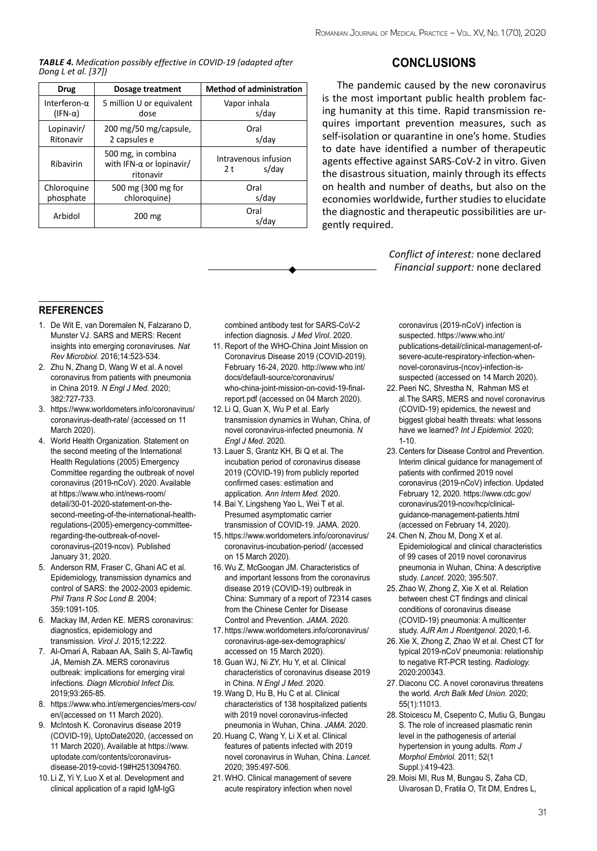*Table 4. Medication possibly effective in COVID-19 (adapted after Dong L et al. [37])*

| <b>Drug</b>          | Dosage treatment                                            | <b>Method of administration</b>                 |  |
|----------------------|-------------------------------------------------------------|-------------------------------------------------|--|
| Interferon- $\alpha$ | 5 million U or equivalent                                   | Vapor inhala                                    |  |
| $(IFN-\alpha)$       | dose                                                        | s/day                                           |  |
| Lopinavir/           | 200 mg/50 mg/capsule,                                       | Oral                                            |  |
| Ritonavir            | 2 capsules e                                                | s/day                                           |  |
| Ribavirin            | 500 mg, in combina<br>with IFN-α or lopinavir/<br>ritonavir | Intravenous infusion<br>s/day<br>2 <sub>t</sub> |  |
| Chloroquine          | 500 mg (300 mg for                                          | Oral                                            |  |
| phosphate            | chloroquine)                                                | s/day                                           |  |
| Arbidol              | 200 mg                                                      | Oral<br>s/day                                   |  |



The pandemic caused by the new coronavirus is the most important public health problem facing humanity at this time. Rapid transmission requires important prevention measures, such as self-isolation or quarantine in one's home. Studies to date have identified a number of therapeutic agents effective against SARS-CoV-2 in vitro. Given the disastrous situation, mainly through its effects on health and number of deaths, but also on the economies worldwide, further studies to elucidate the diagnostic and therapeutic possibilities are urgently required.

> *Conflict of interest:* none declared *Financial support:* none declared

#### **REFERENCES references**

- 1. De Wit F, van Doremalen N, Falzarano D, Munster VJ. SARS and MERS: Recent insights into emerging coronaviruses. *Nat Rev Microbiol.* 2016;14:523-534.
- 2. Zhu N, Zhang D, Wang W et al. A novel coronavirus from patients with pneumonia in China 2019. *N Engl J Med.* 2020; 382:727-733.
- 3. https://www.worldometers.info/coronavirus/ coronavirus-death-rate/ (accessed on 11 March 2020).
- 4. World Health Organization. Statement on the second meeting of the International Health Regulations (2005) Emergency Committee regarding the outbreak of novel coronavirus (2019-nCoV). 2020. Available at https://www.who.int/news-room/ detail/30-01-2020-statement-on-thesecond-meeting-of-the-international-healthregulations-(2005)-emergency-committeeregarding-the-outbreak-of-novelcoronavirus-(2019-ncov). Published January 31, 2020.
- 5. Anderson RM, Fraser C, Ghani AC et al. Epidemiology, transmission dynamics and control of SARS: the 2002-2003 epidemic. *Phil Trans R Soc Lond B.* 2004; 359:1091-105.
- 6. Mackay IM, Arden KE. MERS coronavirus: diagnostics, epidemiology and transmission. *Virol J.* 2015;12:222.
- 7. Al-Omari A, Rabaan AA, Salih S, Al-Tawfiq JA, Memish ZA. MERS coronavirus outbreak: implications for emerging viral infections. *Diagn Microbiol Infect Dis.* 2019;93:265-85.
- 8. https://www.who.int/emergencies/mers-cov/ en/(accessed on 11 March 2020).
- 9. McIntosh K. Coronavirus disease 2019 (COVID-19), UptoDate2020, (accessed on 11 March 2020). Available at https://www. uptodate.com/contents/coronavirusdisease-2019-covid-19#H2513094760.
- 10. Li Z, Yi Y, Luo X et al. Development and clinical application of a rapid IgM-IgG

combined antibody test for SARS-CoV-2 infection diagnosis. *J Med Virol.* 2020.

- 11. Report of the WHO-China Joint Mission on Coronavirus Disease 2019 (COVID-2019). February 16-24, 2020. http://www.who.int/ docs/default-source/coronavirus/ who-china-joint-mission-on-covid-19-finalreport.pdf (accessed on 04 March 2020).
- 12. Li Q, Guan X, Wu P et al. Early transmission dynamics in Wuhan, China, of novel coronavirus-infected pneumonia. *N Engl J Med.* 2020.
- 13. Lauer S, Grantz KH, Bi Q et al. The incubation period of coronavirus disease 2019 (COVID-19) from publicly reported confirmed cases: estimation and application. *Ann Intern Med.* 2020.
- 14. Bai Y, Lingsheng Yao L, Wei T et al. Presumed asymptomatic carrier transmission of COVID-19. JAMA. 2020.
- 15. https://www.worldometers.info/coronavirus/ coronavirus-incubation-period/ (accessed on 15 March 2020).
- 16. Wu Z, McGoogan JM. Characteristics of and important lessons from the coronavirus disease 2019 (COVID-19) outbreak in China: Summary of a report of 72314 cases from the Chinese Center for Disease Control and Prevention. *JAMA.* 2020.
- 17. https://www.worldometers.info/coronavirus/ coronavirus-age-sex-demographics/ accessed on 15 March 2020).
- 18. Guan WJ, Ni ZY, Hu Y, et al. Clinical characteristics of coronavirus disease 2019 in China. *N Engl J Med.* 2020.
- 19. Wang D, Hu B, Hu C et al. Clinical characteristics of 138 hospitalized patients with 2019 novel coronavirus-infected pneumonia in Wuhan, China. *JAMA.* 2020.
- 20. Huang C, Wang Y, Li X et al. Clinical features of patients infected with 2019 novel coronavirus in Wuhan, China. *Lancet.* 2020; 395:497-506.
- 21. WHO. Clinical management of severe acute respiratory infection when novel

coronavirus (2019-nCoV) infection is suspected. https://www.who.int/ publications-detail/clinical-management-ofsevere-acute-respiratory-infection-whennovel-coronavirus-(ncov)-infection-issuspected (accessed on 14 March 2020).

- 22. Peeri NC, Shrestha N, Rahman MS et al.The SARS, MERS and novel coronavirus (COVID-19) epidemics, the newest and biggest global health threats: what lessons have we learned? *Int J Epidemiol.* 2020; 1-10.
- 23. Centers for Disease Control and Prevention. Interim clinical guidance for management of patients with confirmed 2019 novel coronavirus (2019-nCoV) infection. Updated February 12, 2020. https://www.cdc.gov/ coronavirus/2019-ncov/hcp/clinicalguidance-management-patients.html (accessed on February 14, 2020).
- 24. Chen N, Zhou M, Dong X et al. Epidemiological and clinical characteristics of 99 cases of 2019 novel coronavirus pneumonia in Wuhan, China: A descriptive study. *Lancet.* 2020; 395:507.
- 25. Zhao W, Zhong Z, Xie X et al. Relation between chest CT findings and clinical conditions of coronavirus disease (COVID-19) pneumonia: A multicenter study. *AJR Am J Roentgenol*. 2020;1-6.
- 26. Xie X, Zhong Z, Zhao W et al. Chest CT for typical 2019-nCoV pneumonia: relationship to negative RT-PCR testing. *Radiology.* 2020:200343.
- 27. Diaconu CC. A novel coronavirus threatens the world. *Arch Balk Med Union*. 2020; 55(1):11013.
- 28. Stoicescu M, Csepento C, Mutiu G, Bungau S. The role of increased plasmatic renin level in the pathogenesis of arterial hypertension in young adults. *Rom J Morphol Embriol.* 2011; 52(1 Suppl.):419-423.
- 29. Moisi MI, Rus M, Bungau S, Zaha CD, Uivarosan D, Fratila O, Tit DM, Endres L,